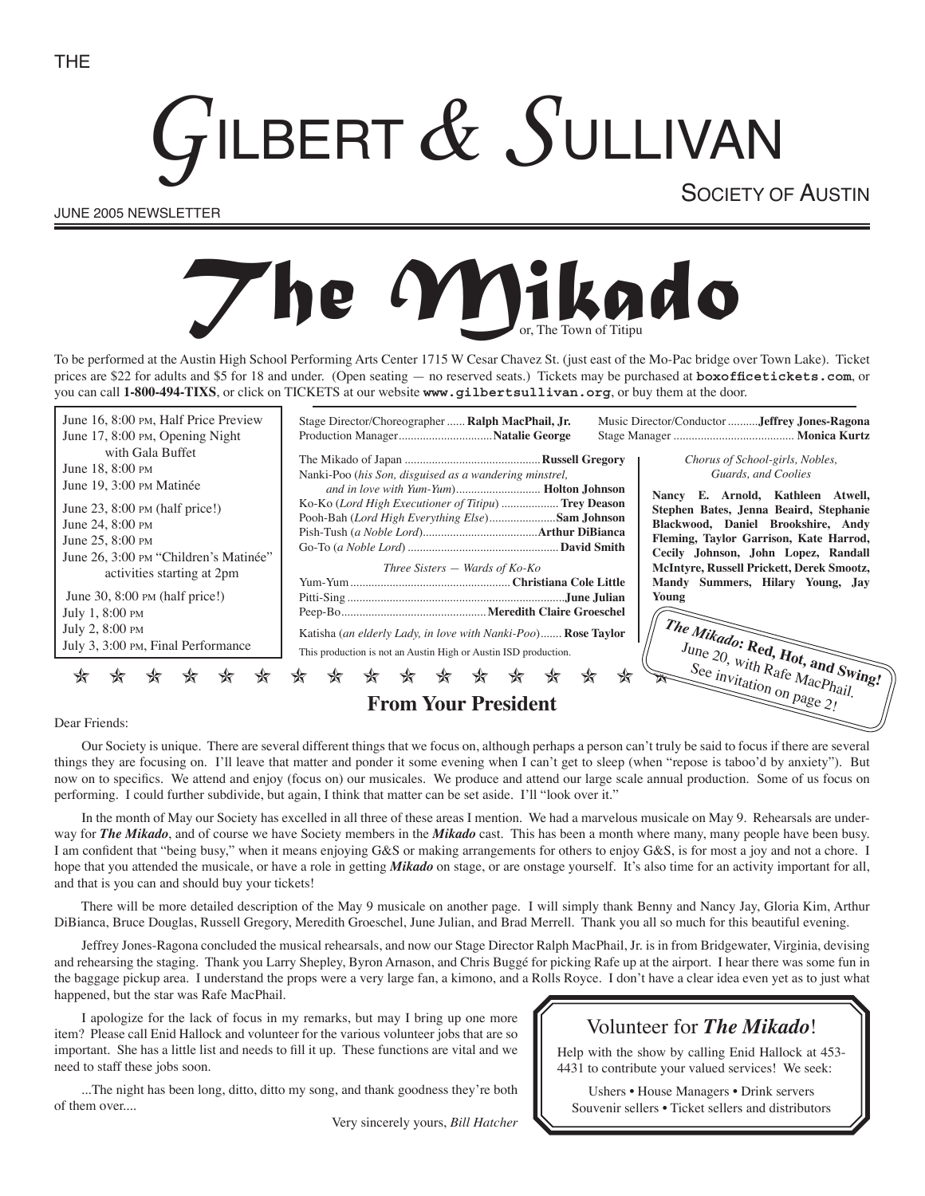# **ILBERT & SULLIVAN**

JUNE 2005 NEWSLETTER

SOCIETY OF AUSTIN

# *Mikado*

To be performed at the Austin High School Performing Arts Center 1715 W Cesar Chavez St. (just east of the Mo-Pac bridge over Town Lake). Ticket prices are \$22 for adults and \$5 for 18 and under. (Open seating — no reserved seats.) Tickets may be purchased at **boxofficetickets.com**, or you can call **1-800-494-TIXS**, or click on TICKETS at our website **www.gilbertsullivan.org**, or buy them at the door.

| June 16, 8:00 PM, Half Price Preview                                | Stage Director/Choreographer  Ralph MacPhail, Jr.<br>Music Director/Conductor Jeffrey Jones-Ragona                                                       |  |  |  |
|---------------------------------------------------------------------|----------------------------------------------------------------------------------------------------------------------------------------------------------|--|--|--|
| June 17, 8:00 PM, Opening Night                                     |                                                                                                                                                          |  |  |  |
| with Gala Buffet<br>June 18, 8:00 PM<br>June 19, 3:00 PM Matinée    | Chorus of School-girls, Nobles,<br>Guards, and Coolies<br>Nanki-Poo (his Son, disguised as a wandering minstrel,<br>E. Arnold, Kathleen Atwell,<br>Nancy |  |  |  |
| June $23$ , $8:00 \text{ PM}$ (half price!)                         | Ko-Ko ( <i>Lord High Executioner of Titipu</i> )  Trey Deason<br>Stephen Bates, Jenna Beaird, Stephanie                                                  |  |  |  |
| June 24, 8:00 PM                                                    | Pooh-Bah (Lord High Everything Else)Sam Johnson<br>Blackwood, Daniel Brookshire, Andy                                                                    |  |  |  |
| June 25, 8:00 PM                                                    | Fleming, Taylor Garrison, Kate Harrod,                                                                                                                   |  |  |  |
| June 26, 3:00 PM "Children's Matinée"<br>activities starting at 2pm | Cecily Johnson, John Lopez, Randall<br>McIntyre, Russell Prickett, Derek Smootz,<br>Three Sisters $-$ Wards of Ko-Ko<br>Mandy Summers, Hilary Young, Jay |  |  |  |
| June 30, $8:00 \text{ PM}$ (half price!)                            | Young                                                                                                                                                    |  |  |  |
| July 1, 8:00 PM                                                     |                                                                                                                                                          |  |  |  |
| July 2, 8:00 PM                                                     | Katisha (an elderly Lady, in love with Nanki-Poo) Rose Taylor                                                                                            |  |  |  |
| July 3, 3:00 PM, Final Performance                                  | This production is not an Austin High or Austin ISD production.                                                                                          |  |  |  |
|                                                                     | $\frac{d}{dt}$ The Mikado: Red, Hot, and Swing!<br>June 20, with Rafe MacPhail.<br>See $_{invitation}$ on page 2!<br>₩                                   |  |  |  |
| <b>From Your President</b>                                          |                                                                                                                                                          |  |  |  |

#### Dear Friends:

Our Society is unique. There are several different things that we focus on, although perhaps a person can't truly be said to focus if there are several things they are focusing on. I'll leave that matter and ponder it some evening when I can't get to sleep (when "repose is taboo'd by anxiety"). But now on to specifics. We attend and enjoy (focus on) our musicales. We produce and attend our large scale annual production. Some of us focus on performing. I could further subdivide, but again, I think that matter can be set aside. I'll "look over it."

In the month of May our Society has excelled in all three of these areas I mention. We had a marvelous musicale on May 9. Rehearsals are underway for *The Mikado*, and of course we have Society members in the *Mikado* cast. This has been a month where many, many people have been busy. I am confident that "being busy," when it means enjoying G&S or making arrangements for others to enjoy G&S, is for most a joy and not a chore. I hope that you attended the musicale, or have a role in getting *Mikado* on stage, or are onstage yourself. It's also time for an activity important for all, and that is you can and should buy your tickets!

There will be more detailed description of the May 9 musicale on another page. I will simply thank Benny and Nancy Jay, Gloria Kim, Arthur DiBianca, Bruce Douglas, Russell Gregory, Meredith Groeschel, June Julian, and Brad Merrell. Thank you all so much for this beautiful evening.

Jeffrey Jones-Ragona concluded the musical rehearsals, and now our Stage Director Ralph MacPhail, Jr. is in from Bridgewater, Virginia, devising and rehearsing the staging. Thank you Larry Shepley, Byron Arnason, and Chris Buggé for picking Rafe up at the airport. I hear there was some fun in the baggage pickup area. I understand the props were a very large fan, a kimono, and a Rolls Royce. I don't have a clear idea even yet as to just what happened, but the star was Rafe MacPhail.

I apologize for the lack of focus in my remarks, but may I bring up one more item? Please call Enid Hallock and volunteer for the various volunteer jobs that are so important. She has a little list and needs to fill it up. These functions are vital and we need to staff these jobs soon.

...The night has been long, ditto, ditto my song, and thank goodness they're both of them over....

Very sincerely yours, *Bill Hatcher*

# Volunteer for *The Mikado*!

Help with the show by calling Enid Hallock at 453- 4431 to contribute your valued services! We seek:

Ushers • House Managers • Drink servers Souvenir sellers • Ticket sellers and distributors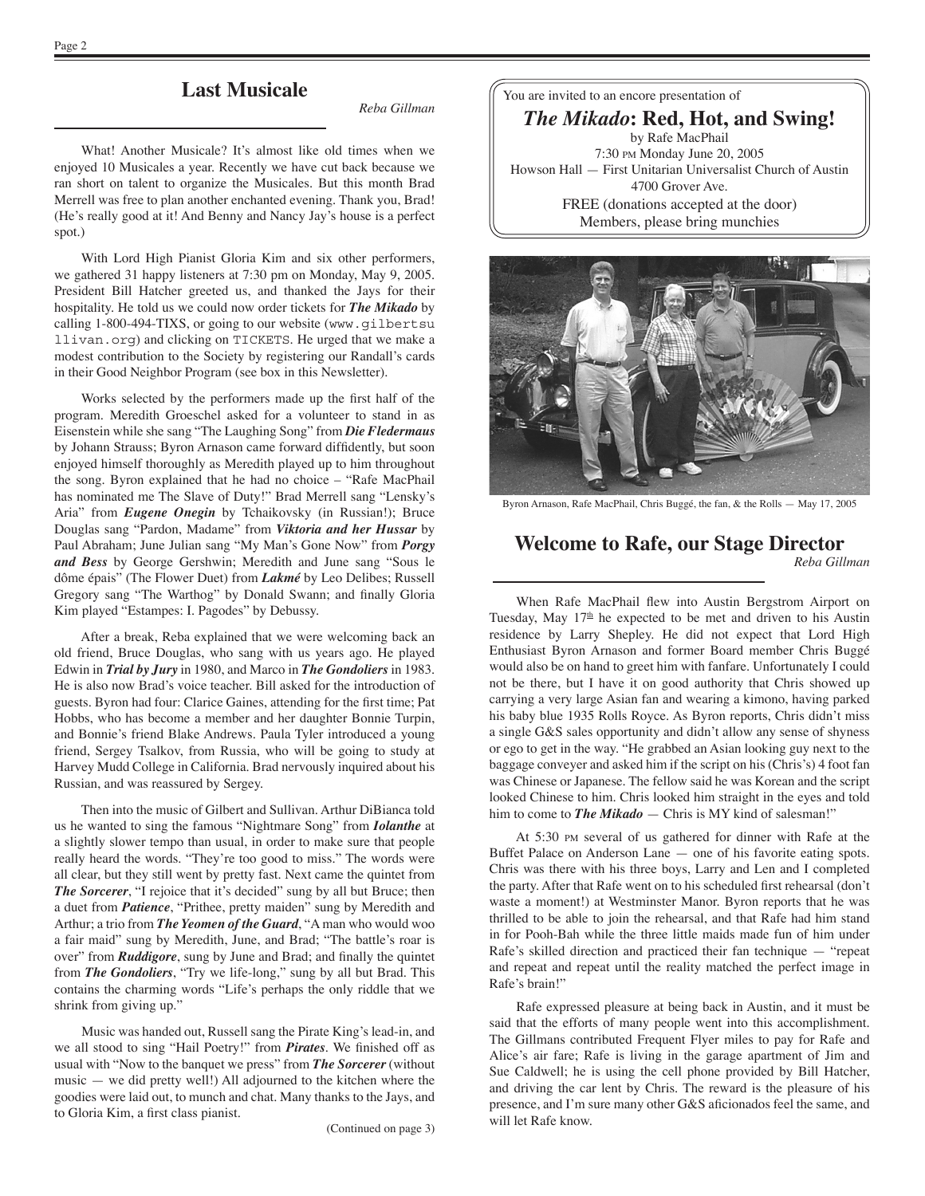# **Last Musicale**

*Reba Gillman*

What! Another Musicale? It's almost like old times when we enjoyed 10 Musicales a year. Recently we have cut back because we ran short on talent to organize the Musicales. But this month Brad Merrell was free to plan another enchanted evening. Thank you, Brad! (He's really good at it! And Benny and Nancy Jay's house is a perfect spot.)

With Lord High Pianist Gloria Kim and six other performers, we gathered 31 happy listeners at 7:30 pm on Monday, May 9, 2005. President Bill Hatcher greeted us, and thanked the Jays for their hospitality. He told us we could now order tickets for *The Mikado* by calling 1-800-494-TIXS, or going to our website (www.gilbertsu llivan.org) and clicking on TICKETS. He urged that we make a modest contribution to the Society by registering our Randall's cards in their Good Neighbor Program (see box in this Newsletter).

Works selected by the performers made up the first half of the program. Meredith Groeschel asked for a volunteer to stand in as Eisenstein while she sang "The Laughing Song" from *Die Fledermaus* by Johann Strauss; Byron Arnason came forward diffidently, but soon enjoyed himself thoroughly as Meredith played up to him throughout the song. Byron explained that he had no choice – "Rafe MacPhail has nominated me The Slave of Duty!" Brad Merrell sang "Lensky's Aria" from *Eugene Onegin* by Tchaikovsky (in Russian!); Bruce Douglas sang "Pardon, Madame" from *Viktoria and her Hussar* by Paul Abraham; June Julian sang "My Man's Gone Now" from *Porgy and Bess* by George Gershwin; Meredith and June sang "Sous le dôme épais" (The Flower Duet) from *Lakmé* by Leo Delibes; Russell Gregory sang "The Warthog" by Donald Swann; and finally Gloria Kim played "Estampes: I. Pagodes" by Debussy.

After a break, Reba explained that we were welcoming back an old friend, Bruce Douglas, who sang with us years ago. He played Edwin in *Trial by Jury* in 1980, and Marco in *The Gondoliers* in 1983. He is also now Brad's voice teacher. Bill asked for the introduction of guests. Byron had four: Clarice Gaines, attending for the first time; Pat Hobbs, who has become a member and her daughter Bonnie Turpin, and Bonnie's friend Blake Andrews. Paula Tyler introduced a young friend, Sergey Tsalkov, from Russia, who will be going to study at Harvey Mudd College in California. Brad nervously inquired about his Russian, and was reassured by Sergey.

Then into the music of Gilbert and Sullivan. Arthur DiBianca told us he wanted to sing the famous "Nightmare Song" from *Iolanthe* at a slightly slower tempo than usual, in order to make sure that people really heard the words. "They're too good to miss." The words were all clear, but they still went by pretty fast. Next came the quintet from **The Sorcerer**, "I rejoice that it's decided" sung by all but Bruce; then a duet from *Patience*, "Prithee, pretty maiden" sung by Meredith and Arthur; a trio from *The Yeomen of the Guard*, "A man who would woo a fair maid" sung by Meredith, June, and Brad; "The battle's roar is over" from *Ruddigore*, sung by June and Brad; and finally the quintet from *The Gondoliers*, "Try we life-long," sung by all but Brad. This contains the charming words "Life's perhaps the only riddle that we shrink from giving up."

Music was handed out, Russell sang the Pirate King's lead-in, and we all stood to sing "Hail Poetry!" from *Pirates*. We finished off as usual with "Now to the banquet we press" from *The Sorcerer* (without music — we did pretty well!) All adjourned to the kitchen where the goodies were laid out, to munch and chat. Many thanks to the Jays, and to Gloria Kim, a first class pianist.

You are invited to an encore presentation of

*The Mikado***: Red, Hot, and Swing!** by Rafe MacPhail 7:30 PM Monday June 20, 2005 Howson Hall — First Unitarian Universalist Church of Austin 4700 Grover Ave. FREE (donations accepted at the door) Members, please bring munchies



Byron Arnason, Rafe MacPhail, Chris Buggé, the fan, & the Rolls — May 17, 2005

#### **Welcome to Rafe, our Stage Director**

*Reba Gillman*

When Rafe MacPhail flew into Austin Bergstrom Airport on Tuesday, May  $17<sup>th</sup>$  he expected to be met and driven to his Austin residence by Larry Shepley. He did not expect that Lord High Enthusiast Byron Arnason and former Board member Chris Buggé would also be on hand to greet him with fanfare. Unfortunately I could not be there, but I have it on good authority that Chris showed up carrying a very large Asian fan and wearing a kimono, having parked his baby blue 1935 Rolls Royce. As Byron reports, Chris didn't miss a single G&S sales opportunity and didn't allow any sense of shyness or ego to get in the way. "He grabbed an Asian looking guy next to the baggage conveyer and asked him if the script on his (Chris's) 4 foot fan was Chinese or Japanese. The fellow said he was Korean and the script looked Chinese to him. Chris looked him straight in the eyes and told him to come to **The Mikado** — Chris is MY kind of salesman!"

At 5:30 PM several of us gathered for dinner with Rafe at the Buffet Palace on Anderson Lane — one of his favorite eating spots. Chris was there with his three boys, Larry and Len and I completed the party. After that Rafe went on to his scheduled first rehearsal (don't waste a moment!) at Westminster Manor. Byron reports that he was thrilled to be able to join the rehearsal, and that Rafe had him stand in for Pooh-Bah while the three little maids made fun of him under Rafe's skilled direction and practiced their fan technique — "repeat and repeat and repeat until the reality matched the perfect image in Rafe's brain!"

Rafe expressed pleasure at being back in Austin, and it must be said that the efforts of many people went into this accomplishment. The Gillmans contributed Frequent Flyer miles to pay for Rafe and Alice's air fare; Rafe is living in the garage apartment of Jim and Sue Caldwell; he is using the cell phone provided by Bill Hatcher, and driving the car lent by Chris. The reward is the pleasure of his presence, and I'm sure many other G&S aficionados feel the same, and will let Rafe know.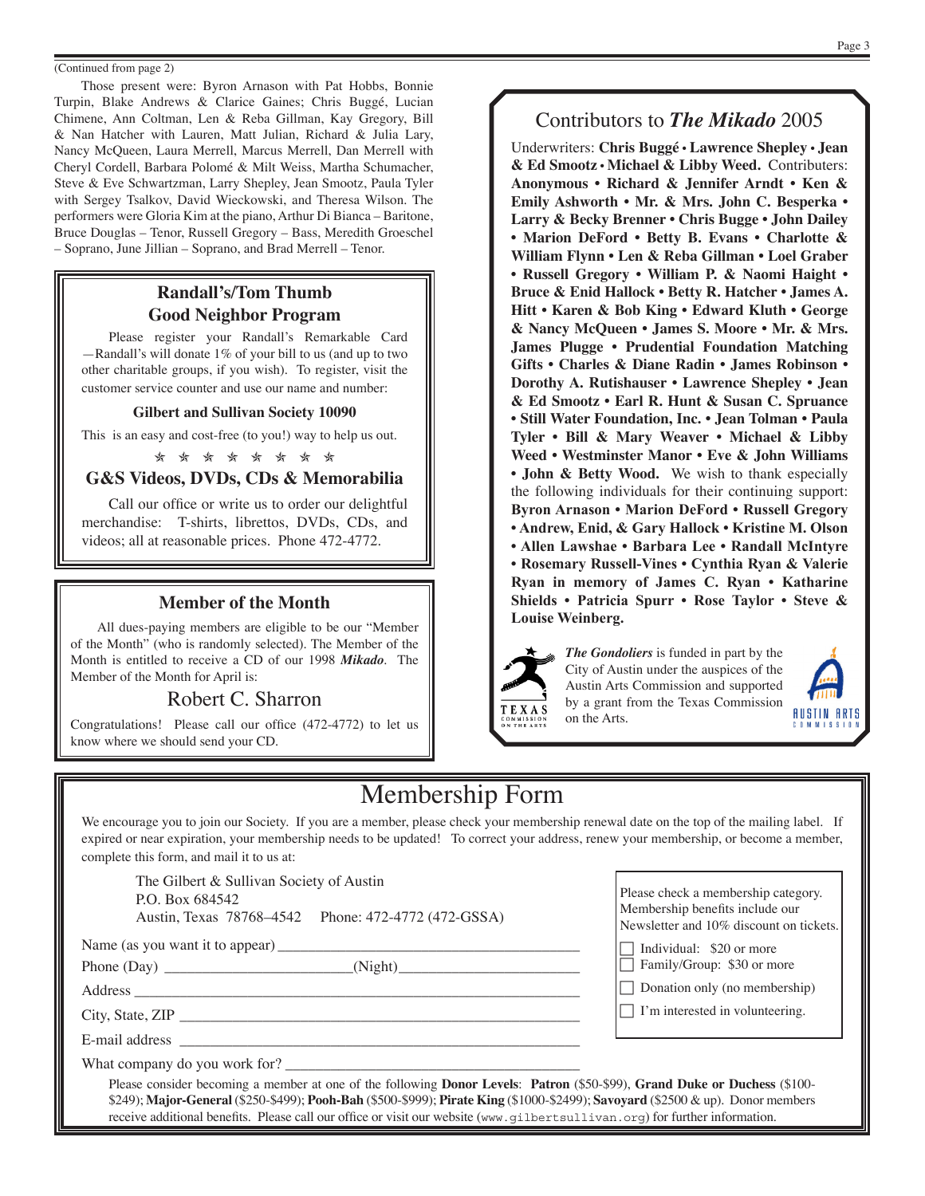#### (Continued from page 2)

Those present were: Byron Arnason with Pat Hobbs, Bonnie Turpin, Blake Andrews & Clarice Gaines; Chris Buggé, Lucian Chimene, Ann Coltman, Len & Reba Gillman, Kay Gregory, Bill & Nan Hatcher with Lauren, Matt Julian, Richard & Julia Lary, Nancy McQueen, Laura Merrell, Marcus Merrell, Dan Merrell with Cheryl Cordell, Barbara Polomé & Milt Weiss, Martha Schumacher, Steve & Eve Schwartzman, Larry Shepley, Jean Smootz, Paula Tyler with Sergey Tsalkov, David Wieckowski, and Theresa Wilson. The performers were Gloria Kim at the piano, Arthur Di Bianca – Baritone, Bruce Douglas – Tenor, Russell Gregory – Bass, Meredith Groeschel – Soprano, June Jillian – Soprano, and Brad Merrell – Tenor.

## **Randall's/Tom Thumb Good Neighbor Program**

Please register your Randall's Remarkable Card —Randall's will donate 1% of your bill to us (and up to two other charitable groups, if you wish). To register, visit the customer service counter and use our name and number:

#### **Gilbert and Sullivan Society 10090**

This is an easy and cost-free (to you!) way to help us out.

\* \* \* \* \* \* \* \*

#### **G&S Videos, DVDs, CDs & Memorabilia**

Call our office or write us to order our delightful merchandise: T-shirts, librettos, DVDs, CDs, and videos; all at reasonable prices. Phone 472-4772.

#### **Member of the Month**

All dues-paying members are eligible to be our "Member of the Month" (who is randomly selected). The Member of the Month is entitled to receive a CD of our 1998 *Mikado*. The Member of the Month for April is:

### Robert C. Sharron

Congratulations! Please call our office (472-4772) to let us know where we should send your CD.

# Contributors to *The Mikado* 2005

Underwriters: **Chris Buggé • Lawrence Shepley • Jean & Ed Smootz • Michael & Libby Weed.** Contributers: **Anonymous • Richard & Jennifer Arndt • Ken & Emily Ashworth • Mr. & Mrs. John C. Besperka • Larry & Becky Brenner • Chris Bugge • John Dailey • Marion DeFord • Betty B. Evans • Charlotte & William Flynn • Len & Reba Gillman • Loel Graber • Russell Gregory • William P. & Naomi Haight • Bruce & Enid Hallock • Betty R. Hatcher • James A. Hitt • Karen & Bob King • Edward Kluth • George & Nancy McQueen • James S. Moore • Mr. & Mrs. James Plugge • Prudential Foundation Matching Gifts • Charles & Diane Radin • James Robinson • Dorothy A. Rutishauser • Lawrence Shepley • Jean & Ed Smootz • Earl R. Hunt & Susan C. Spruance • Still Water Foundation, Inc. • Jean Tolman • Paula Tyler • Bill & Mary Weaver • Michael & Libby Weed • Westminster Manor • Eve & John Williams • John & Betty Wood.** We wish to thank especially the following individuals for their continuing support: **Byron Arnason • Marion DeFord • Russell Gregory • Andrew, Enid, & Gary Hallock • Kristine M. Olson • Allen Lawshae • Barbara Lee • Randall McIntyre • Rosemary Russell-Vines • Cynthia Ryan & Valerie Ryan in memory of James C. Ryan • Katharine Shields • Patricia Spurr • Rose Taylor • Steve & Louise Weinberg.**



*The Gondoliers* is funded in part by the City of Austin under the auspices of the Austin Arts Commission and supported by a grant from the Texas Commission on the Arts.



# Membership Form

We encourage you to join our Society. If you are a member, please check your membership renewal date on the top of the mailing label. If expired or near expiration, your membership needs to be updated! To correct your address, renew your membership, or become a member, complete this form, and mail it to us at:

The Gilbert & Sullivan Society of Austin P.O. Box 684542 Austin, Texas 78768–4542 Phone: 472-4772 (472-GSSA)

Name (as you want it to appear) \_\_\_\_\_\_\_\_\_\_\_\_\_\_\_\_\_\_\_\_\_\_\_\_\_\_\_\_\_\_\_\_\_\_\_\_\_\_\_\_

Phone (Day) \_\_\_\_\_\_\_\_\_\_\_\_\_\_\_\_\_\_\_\_\_\_\_\_\_(Night)\_\_\_\_\_\_\_\_\_\_\_\_\_\_\_\_\_\_\_\_\_\_\_\_

Address

City, State, ZIP \_\_\_\_\_\_\_\_\_\_\_\_\_\_\_\_\_\_\_\_\_\_\_\_\_\_\_\_\_\_\_\_\_\_\_\_\_\_\_\_\_\_\_\_\_\_\_\_\_\_\_\_\_

E-mail address \_\_\_\_\_\_\_\_\_\_\_\_\_\_\_\_\_\_\_\_\_\_\_\_\_\_\_\_\_\_\_\_\_\_\_\_\_\_\_\_\_\_\_\_\_\_\_\_\_\_\_\_\_

What company do you work for?

Please check a membership category. Membership benefits include our Newsletter and 10% discount on tickets.

 $\Box$  Individual: \$20 or more

 $\overline{\Box}$  Family/Group: \$30 or more

 $\Box$  Donation only (no membership)

 $\Box$  I'm interested in volunteering.

Please consider becoming a member at one of the following **Donor Levels**: **Patron** (\$50-\$99), **Grand Duke or Duchess** (\$100- \$249); **Major-General** (\$250-\$499); **Pooh-Bah** (\$500-\$999); **Pirate King** (\$1000-\$2499); **Savoyard** (\$2500 & up). Donor members receive additional benefits. Please call our office or visit our website (www.gilbertsullivan.org) for further information.